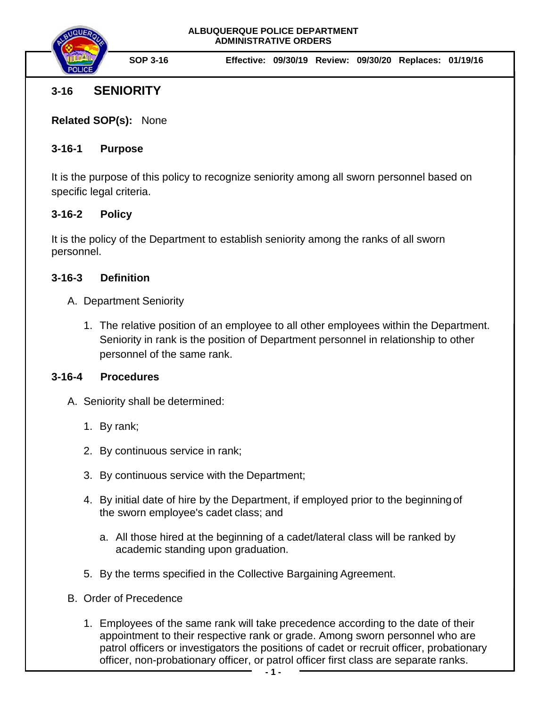

# **3-16 SENIORITY**

**Related SOP(s):** None

# **3-16-1 Purpose**

It is the purpose of this policy to recognize seniority among all sworn personnel based on specific legal criteria.

# **3-16-2 Policy**

It is the policy of the Department to establish seniority among the ranks of all sworn personnel.

### **3-16-3 Definition**

- A. Department Seniority
	- 1. The relative position of an employee to all other employees within the Department. Seniority in rank is the position of Department personnel in relationship to other personnel of the same rank.

#### **3-16-4 Procedures**

A. Seniority shall be determined:

- 1. By rank;
- 2. By continuous service in rank;
- 3. By continuous service with the Department;
- 4. By initial date of hire by the Department, if employed prior to the beginning of the sworn employee's cadet class; and
	- a. All those hired at the beginning of a cadet/lateral class will be ranked by academic standing upon graduation.
- 5. By the terms specified in the Collective Bargaining Agreement.
- B. Order of Precedence
	- 1. Employees of the same rank will take precedence according to the date of their appointment to their respective rank or grade. Among sworn personnel who are patrol officers or investigators the positions of cadet or recruit officer, probationary officer, non-probationary officer, or patrol officer first class are separate ranks.